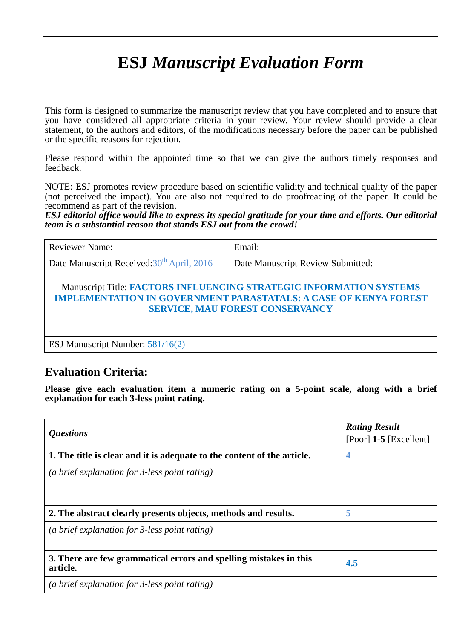## **ESJ** *Manuscript Evaluation Form*

This form is designed to summarize the manuscript review that you have completed and to ensure that you have considered all appropriate criteria in your review. Your review should provide a clear statement, to the authors and editors, of the modifications necessary before the paper can be published or the specific reasons for rejection.

Please respond within the appointed time so that we can give the authors timely responses and feedback.

NOTE: ESJ promotes review procedure based on scientific validity and technical quality of the paper (not perceived the impact). You are also not required to do proofreading of the paper. It could be recommend as part of the revision.

*ESJ editorial office would like to express its special gratitude for your time and efforts. Our editorial team is a substantial reason that stands ESJ out from the crowd!*

| <b>Reviewer Name:</b>                                                                                                                                                                    | Email:                            |  |
|------------------------------------------------------------------------------------------------------------------------------------------------------------------------------------------|-----------------------------------|--|
| Date Manuscript Received: 30 <sup>th</sup> April, 2016                                                                                                                                   | Date Manuscript Review Submitted: |  |
| Manuscript Title: FACTORS INFLUENCING STRATEGIC INFORMATION SYSTEMS<br><b>IMPLEMENTATION IN GOVERNMENT PARASTATALS: A CASE OF KENYA FOREST</b><br><b>SERVICE, MAU FOREST CONSERVANCY</b> |                                   |  |
| ESJ Manuscript Number: 581/16(2)                                                                                                                                                         |                                   |  |

## **Evaluation Criteria:**

**Please give each evaluation item a numeric rating on a 5-point scale, along with a brief explanation for each 3-less point rating.**

| <i><b>Questions</b></i>                                                       | <b>Rating Result</b><br>[Poor] $1-5$ [Excellent] |
|-------------------------------------------------------------------------------|--------------------------------------------------|
| 1. The title is clear and it is adequate to the content of the article.       | 4                                                |
| (a brief explanation for $\beta$ -less point rating)                          |                                                  |
| 2. The abstract clearly presents objects, methods and results.                | 5                                                |
| (a brief explanation for $\beta$ -less point rating)                          |                                                  |
| 3. There are few grammatical errors and spelling mistakes in this<br>article. | 4.5                                              |
| (a brief explanation for 3-less point rating)                                 |                                                  |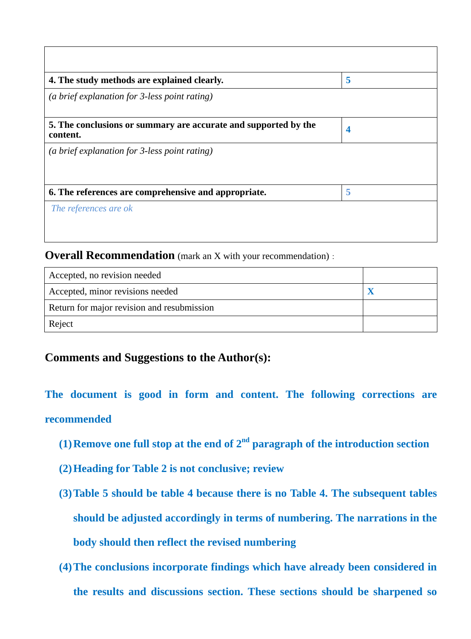| 4. The study methods are explained clearly.                                 | 5 |
|-----------------------------------------------------------------------------|---|
| (a brief explanation for 3-less point rating)                               |   |
| 5. The conclusions or summary are accurate and supported by the<br>content. | 4 |
| (a brief explanation for 3-less point rating)                               |   |
| 6. The references are comprehensive and appropriate.                        | 5 |
| The references are ok                                                       |   |
|                                                                             |   |

**Overall Recommendation** (mark an X with your recommendation):

| Accepted, no revision needed               |  |
|--------------------------------------------|--|
| Accepted, minor revisions needed           |  |
| Return for major revision and resubmission |  |
| Reject                                     |  |

## **Comments and Suggestions to the Author(s):**

**The document is good in form and content. The following corrections are recommended**

- **(1)Remove one full stop at the end of 2nd paragraph of the introduction section**
- **(2)Heading for Table 2 is not conclusive; review**
- **(3)Table 5 should be table 4 because there is no Table 4. The subsequent tables should be adjusted accordingly in terms of numbering. The narrations in the body should then reflect the revised numbering**
- **(4)The conclusions incorporate findings which have already been considered in the results and discussions section. These sections should be sharpened so**